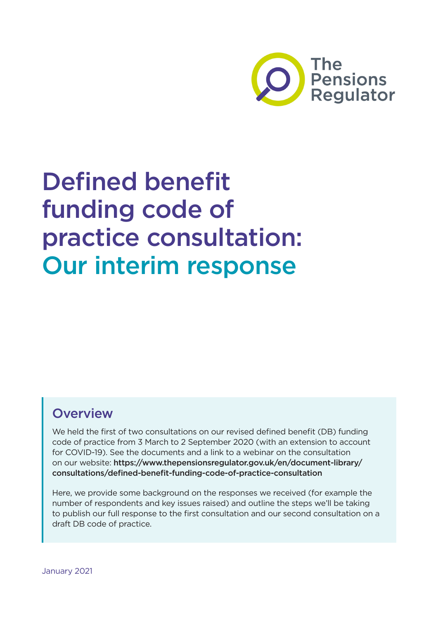

# Defined benefit funding code of practice consultation: Our interim response

### **Overview**

We held the first of two consultations on our revised defined benefit (DB) funding code of practice from 3 March to 2 September 2020 (with an extension to account for COVID-19). See the documents and a link to a webinar on the consultation on our website: [https://www.thepensionsregulator.gov.uk/en/document-library/](https://www.thepensionsregulator.gov.uk/en/document-library/consultations/defined-benefit-funding-code-of-practice-consultation) [consultations/defined-benefit-funding-code-of-practice-consultation](https://www.thepensionsregulator.gov.uk/en/document-library/consultations/defined-benefit-funding-code-of-practice-consultation)

Here, we provide some background on the responses we received (for example the number of respondents and key issues raised) and outline the steps we'll be taking to publish our full response to the first consultation and our second consultation on a draft DB code of practice.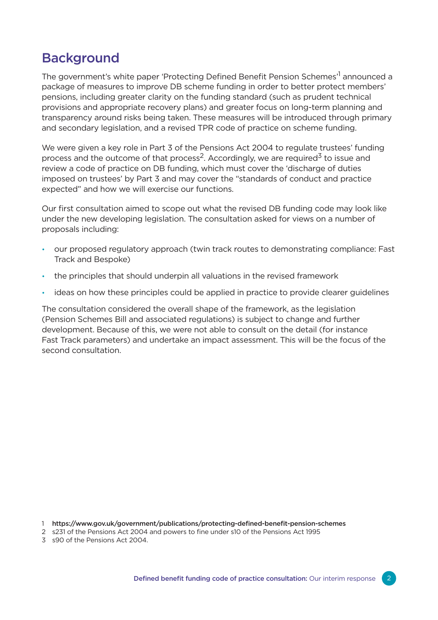## Background

The government's white paper 'Protecting Defined Benefit Pension Schemes'<sup>1</sup> announced a package of measures to improve DB scheme funding in order to better protect members' pensions, including greater clarity on the funding standard (such as prudent technical provisions and appropriate recovery plans) and greater focus on long-term planning and transparency around risks being taken. These measures will be introduced through primary and secondary legislation, and a revised TPR code of practice on scheme funding.

We were given a key role in Part 3 of the Pensions Act 2004 to regulate trustees' funding process and the outcome of that process<sup>2</sup>. Accordingly, we are required<sup>3</sup> to issue and review a code of practice on DB funding, which must cover the 'discharge of duties imposed on trustees' by Part 3 and may cover the "standards of conduct and practice expected" and how we will exercise our functions.

Our first consultation aimed to scope out what the revised DB funding code may look like under the new developing legislation. The consultation asked for views on a number of proposals including:

- our proposed regulatory approach (twin track routes to demonstrating compliance: Fast Track and Bespoke)
- the principles that should underpin all valuations in the revised framework
- ideas on how these principles could be applied in practice to provide clearer guidelines

The consultation considered the overall shape of the framework, as the legislation (Pension Schemes Bill and associated regulations) is subject to change and further development. Because of this, we were not able to consult on the detail (for instance Fast Track parameters) and undertake an impact assessment. This will be the focus of the second consultation.

1 <https://www.gov.uk/government/publications/protecting-defined-benefit-pension-schemes>

3 s90 of the Pensions Act 2004.

<sup>2</sup> s231 of the Pensions Act 2004 and powers to fine under s10 of the Pensions Act 1995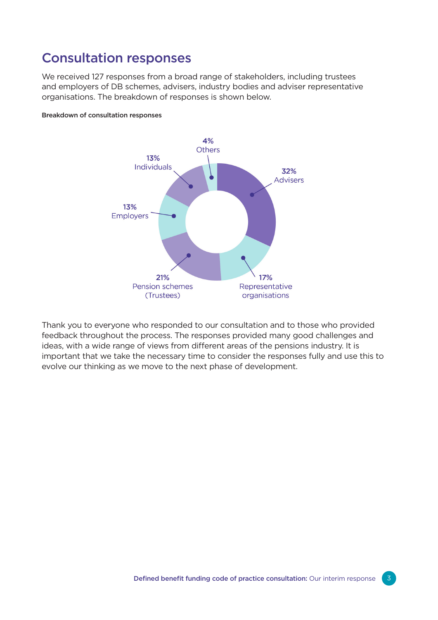#### Consultation responses

We received 127 responses from a broad range of stakeholders, including trustees and employers of DB schemes, advisers, industry bodies and adviser representative organisations. The breakdown of responses is shown below.

#### Breakdown of consultation responses



Thank you to everyone who responded to our consultation and to those who provided feedback throughout the process. The responses provided many good challenges and ideas, with a wide range of views from different areas of the pensions industry. It is important that we take the necessary time to consider the responses fully and use this to evolve our thinking as we move to the next phase of development.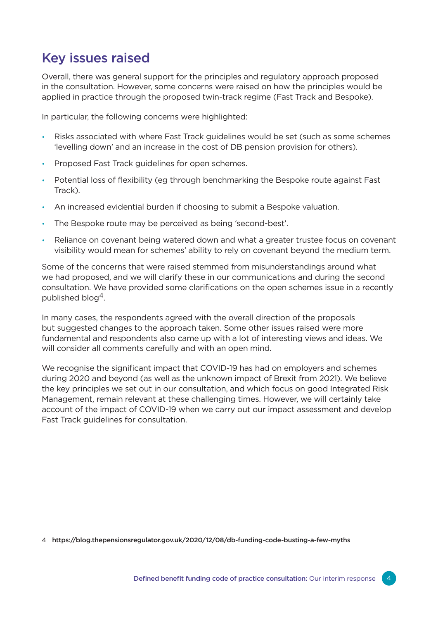# Key issues raised

Overall, there was general support for the principles and regulatory approach proposed in the consultation. However, some concerns were raised on how the principles would be applied in practice through the proposed twin-track regime (Fast Track and Bespoke).

In particular, the following concerns were highlighted:

- Risks associated with where Fast Track guidelines would be set (such as some schemes 'levelling down' and an increase in the cost of DB pension provision for others).
- Proposed Fast Track guidelines for open schemes.
- Potential loss of flexibility (eg through benchmarking the Bespoke route against Fast Track).
- An increased evidential burden if choosing to submit a Bespoke valuation.
- The Bespoke route may be perceived as being 'second-best'.
- Reliance on covenant being watered down and what a greater trustee focus on covenant visibility would mean for schemes' ability to rely on covenant beyond the medium term.

Some of the concerns that were raised stemmed from misunderstandings around what we had proposed, and we will clarify these in our communications and during the second consultation. We have provided some clarifications on the open schemes issue in a recently published blog4.

In many cases, the respondents agreed with the overall direction of the proposals but suggested changes to the approach taken. Some other issues raised were more fundamental and respondents also came up with a lot of interesting views and ideas. We will consider all comments carefully and with an open mind.

We recognise the significant impact that COVID-19 has had on employers and schemes during 2020 and beyond (as well as the unknown impact of Brexit from 2021). We believe the key principles we set out in our consultation, and which focus on good Integrated Risk Management, remain relevant at these challenging times. However, we will certainly take account of the impact of COVID-19 when we carry out our impact assessment and develop Fast Track guidelines for consultation.

4 <https://blog.thepensionsregulator.gov.uk/2020/12/08/db-funding-code-busting-a-few-myths>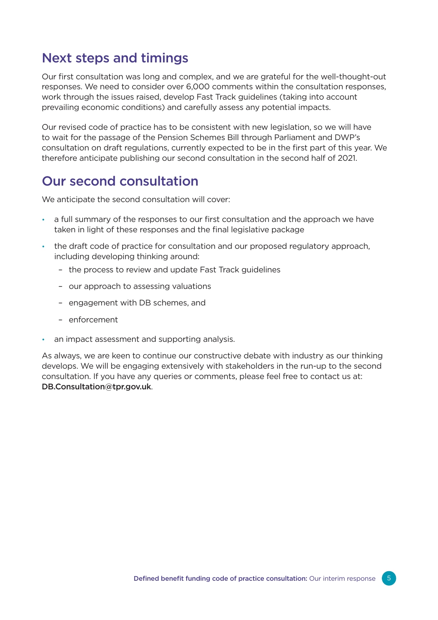### Next steps and timings

Our first consultation was long and complex, and we are grateful for the well-thought-out responses. We need to consider over 6,000 comments within the consultation responses, work through the issues raised, develop Fast Track guidelines (taking into account prevailing economic conditions) and carefully assess any potential impacts.

Our revised code of practice has to be consistent with new legislation, so we will have to wait for the passage of the Pension Schemes Bill through Parliament and DWP's consultation on draft regulations, currently expected to be in the first part of this year. We therefore anticipate publishing our second consultation in the second half of 2021.

### Our second consultation

We anticipate the second consultation will cover:

- a full summary of the responses to our first consultation and the approach we have taken in light of these responses and the final legislative package
- the draft code of practice for consultation and our proposed regulatory approach, including developing thinking around:
	- the process to review and update Fast Track guidelines
	- our approach to assessing valuations
	- engagement with DB schemes, and
	- enforcement
- an impact assessment and supporting analysis.

As always, we are keen to continue our constructive debate with industry as our thinking develops. We will be engaging extensively with stakeholders in the run-up to the second consultation. If you have any queries or comments, please feel free to contact us at: [DB.Consultation@tpr.gov.uk](mailto:DB.Consultation%40tpr.gov.uk?subject=).